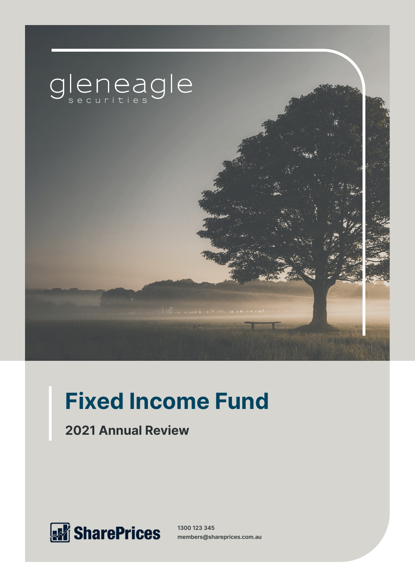

# **Fixed Income Fund**

**2021 Annual Review**



**1300 123 345 members@shareprices.com.au**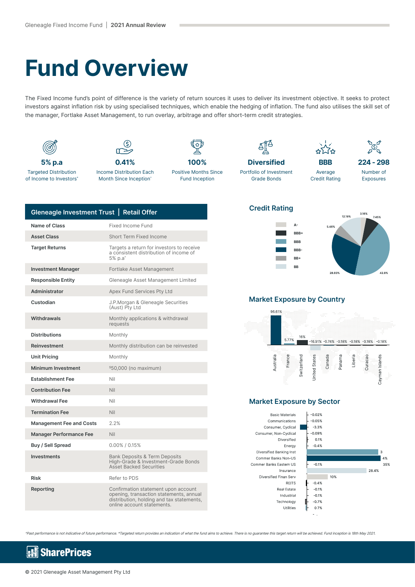## **Fund Overview**

The Fixed Income fund's point of difference is the variety of return sources it uses to deliver its investment objective. It seeks to protect investors against inflation risk by using specialised techniques, which enable the hedging of inflation. The fund also utilises the skill set of the manager, Fortlake Asset Management, to run overlay, arbitrage and offer short-term credit strategies.



| Gleneagle Investment Trust   Retail Offer |                                                                                                                                                           |
|-------------------------------------------|-----------------------------------------------------------------------------------------------------------------------------------------------------------|
| Name of Class                             | <b>Fixed Income Fund</b>                                                                                                                                  |
| <b>Asset Class</b>                        | Short Term Fixed Income                                                                                                                                   |
| <b>Target Returns</b>                     | Targets a return for investors to receive<br>a consistent distribution of income of<br>5% p.a*                                                            |
| <b>Investment Manager</b>                 | Fortlake Asset Management                                                                                                                                 |
| <b>Responsible Entity</b>                 | Gleneagle Asset Management Limited                                                                                                                        |
| Administrator                             | Apex Fund Services Pty Ltd                                                                                                                                |
| Custodian                                 | J.P.Morgan & Gleneagle Securities<br>(Aust) Pty Ltd                                                                                                       |
| Withdrawals                               | Monthly applications & withdrawal<br>requests                                                                                                             |
| <b>Distributions</b>                      | Monthly                                                                                                                                                   |
| Reinvestment                              | Monthly distribution can be reinvested                                                                                                                    |
| <b>Unit Pricing</b>                       | Monthly                                                                                                                                                   |
| <b>Minimum Investment</b>                 | \$50,000 (no maximum)                                                                                                                                     |
| <b>Establishment Fee</b>                  | Nil                                                                                                                                                       |
| <b>Contribution Fee</b>                   | Nil                                                                                                                                                       |
| <b>Withdrawal Fee</b>                     | Nil                                                                                                                                                       |
| <b>Termination Fee</b>                    | Nil                                                                                                                                                       |
| <b>Management Fee and Costs</b>           | 2.2%                                                                                                                                                      |
| <b>Manager Performance Fee</b>            | Nil                                                                                                                                                       |
| Buy / Sell Spread                         | $0.00\%$ / 0.15%                                                                                                                                          |
| <b>Investments</b>                        | <b>Bank Deposits &amp; Term Deposits</b><br>High-Grade & Investment-Grade Bonds<br><b>Asset Backed Securities</b>                                         |
| <b>Risk</b>                               | Refer to PDS                                                                                                                                              |
| Reporting                                 | Confirmation statement upon account<br>opening, transaction statements, annual<br>distribution, holding and tax statements,<br>online account statements. |

### **Credit Rating**





#### **Market Exposure by Country**



### **Market Exposure by Sector**

**Basic Materials** Communications Consumer, Cyclical Consumer, Non-Cyclical Diversified Energy Diversified Banking Inst Commer Banks Non-US Commer Banks Eastern US Insurance Diversified Finan Serv REITS Real Estate Industrial Technology Utilities



^Past performance is not indicative of future performance. \*Targeted return provides an indication of what the fund aims to achieve. There is no guarantee this target return will be achieved. Fund inception is 18th May 2021.

#### **SharePrices** k.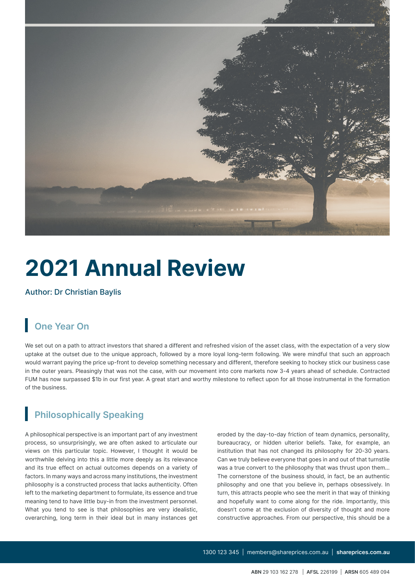

# **2021 Annual Review**

Author: Dr Christian Baylis

## **One Year On**

We set out on a path to attract investors that shared a different and refreshed vision of the asset class, with the expectation of a very slow uptake at the outset due to the unique approach, followed by a more loyal long-term following. We were mindful that such an approach would warrant paying the price up-front to develop something necessary and different, therefore seeking to hockey stick our business case in the outer years. Pleasingly that was not the case, with our movement into core markets now 3-4 years ahead of schedule. Contracted FUM has now surpassed \$1b in our first year. A great start and worthy milestone to reflect upon for all those instrumental in the formation of the business.

## **Philosophically Speaking**

A philosophical perspective is an important part of any investment process, so unsurprisingly, we are often asked to articulate our views on this particular topic. However, I thought it would be worthwhile delving into this a little more deeply as its relevance and its true effect on actual outcomes depends on a variety of factors. In many ways and across many institutions, the investment philosophy is a constructed process that lacks authenticity. Often left to the marketing department to formulate, its essence and true meaning tend to have little buy-in from the investment personnel. What you tend to see is that philosophies are very idealistic, overarching, long term in their ideal but in many instances get eroded by the day-to-day friction of team dynamics, personality, bureaucracy, or hidden ulterior beliefs. Take, for example, an institution that has not changed its philosophy for 20-30 years. Can we truly believe everyone that goes in and out of that turnstile was a true convert to the philosophy that was thrust upon them… The cornerstone of the business should, in fact, be an authentic philosophy and one that you believe in, perhaps obsessively. In turn, this attracts people who see the merit in that way of thinking and hopefully want to come along for the ride. Importantly, this doesn't come at the exclusion of diversity of thought and more constructive approaches. From our perspective, this should be a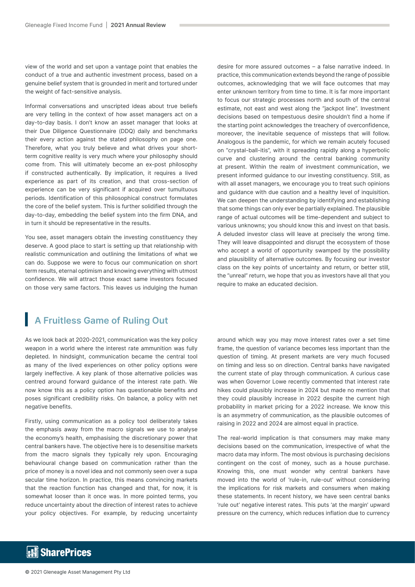view of the world and set upon a vantage point that enables the conduct of a true and authentic investment process, based on a genuine belief system that is grounded in merit and tortured under the weight of fact-sensitive analysis.

Informal conversations and unscripted ideas about true beliefs are very telling in the context of how asset managers act on a day-to-day basis. I don't know an asset manager that looks at their Due Diligence Questionnaire (DDQ) daily and benchmarks their every action against the stated philosophy on page one. Therefore, what you truly believe and what drives your shortterm cognitive reality is very much where your philosophy should come from. This will ultimately become an ex-post philosophy if constructed authentically. By implication, it requires a lived experience as part of its creation, and that cross-section of experience can be very significant if acquired over tumultuous periods. Identification of this philosophical construct formulates the core of the belief system. This is further solidified through the day-to-day, embedding the belief system into the firm DNA, and in turn it should be representative in the results.

You see, asset managers obtain the investing constituency they deserve. A good place to start is setting up that relationship with realistic communication and outlining the limitations of what we can do. Suppose we were to focus our communication on short term results, eternal optimism and knowing everything with utmost confidence. We will attract those exact same investors focused on those very same factors. This leaves us indulging the human

desire for more assured outcomes – a false narrative indeed. In practice, this communication extends beyond the range of possible outcomes, acknowledging that we will face outcomes that may enter unknown territory from time to time. It is far more important to focus our strategic processes north and south of the central estimate, not east and west along the "jackpot line". Investment decisions based on tempestuous desire shouldn't find a home if the starting point acknowledges the treachery of overconfidence, moreover, the inevitable sequence of missteps that will follow. Analogous is the pandemic, for which we remain acutely focused on "crystal-ball-itis", with it spreading rapidly along a hyperbolic curve and clustering around the central banking community at present. Within the realm of investment communication, we present informed guidance to our investing constituency. Still, as with all asset managers, we encourage you to treat such opinions and guidance with due caution and a healthy level of inquisition. We can deepen the understanding by identifying and establishing that some things can only ever be partially explained. The plausible range of actual outcomes will be time-dependent and subject to various unknowns; you should know this and invest on that basis. A deluded investor class will leave at precisely the wrong time. They will leave disappointed and disrupt the ecosystem of those who accept a world of opportunity swamped by the possibility and plausibility of alternative outcomes. By focusing our investor class on the key points of uncertainty and return, or better still, the "unreal" return, we hope that you as investors have all that you require to make an educated decision.

## **A Fruitless Game of Ruling Out**

As we look back at 2020-2021, communication was the key policy weapon in a world where the interest rate ammunition was fully depleted. In hindsight, communication became the central tool as many of the lived experiences on other policy options were largely ineffective. A key plank of those alternative policies was centred around forward guidance of the interest rate path. We now know this as a policy option has questionable benefits and poses significant credibility risks. On balance, a policy with net negative benefits.

Firstly, using communication as a policy tool deliberately takes the emphasis away from the macro signals we use to analyse the economy's health, emphasising the discretionary power that central bankers have. The objective here is to desensitise markets from the macro signals they typically rely upon. Encouraging behavioural change based on communication rather than the price of money is a novel idea and not commonly seen over a supa secular time horizon. In practice, this means convincing markets that the reaction function has changed and that, for now, it is somewhat looser than it once was. In more pointed terms, you reduce uncertainty about the direction of interest rates to achieve your policy objectives. For example, by reducing uncertainty

around which way you may move interest rates over a set time frame, the question of variance becomes less important than the question of timing. At present markets are very much focused on timing and less so on direction. Central banks have navigated the current state of play through communication. A curious case was when Governor Lowe recently commented that interest rate hikes could plausibly increase in 2024 but made no mention that they could plausibly increase in 2022 despite the current high probability in market pricing for a 2022 increase. We know this is an asymmetry of communication, as the plausible outcomes of raising in 2022 and 2024 are almost equal in practice.

The real-world implication is that consumers may make many decisions based on the communication, irrespective of what the macro data may inform. The most obvious is purchasing decisions contingent on the cost of money, such as a house purchase. Knowing this, one must wonder why central bankers have moved into the world of 'rule-in, rule-out' without considering the implications for risk markets and consumers when making these statements. In recent history, we have seen central banks 'rule out' negative interest rates. This puts 'at the margin' upward pressure on the currency, which reduces inflation due to currency

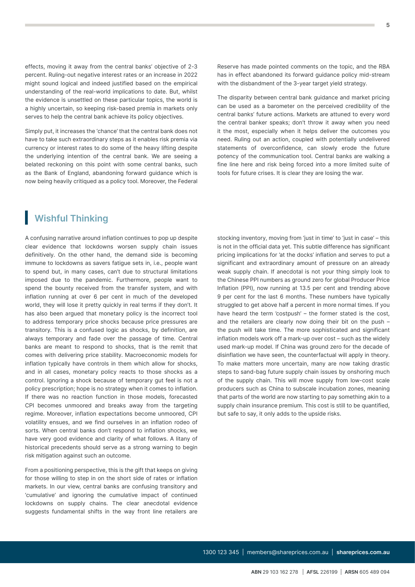effects, moving it away from the central banks' objective of 2-3 percent. Ruling-out negative interest rates or an increase in 2022 might sound logical and indeed justified based on the empirical understanding of the real-world implications to date. But, whilst the evidence is unsettled on these particular topics, the world is a highly uncertain, so keeping risk-based premia in markets only serves to help the central bank achieve its policy objectives.

Simply put, it increases the 'chance' that the central bank does not have to take such extraordinary steps as it enables risk premia via currency or interest rates to do some of the heavy lifting despite the underlying intention of the central bank. We are seeing a belated reckoning on this point with some central banks, such as the Bank of England, abandoning forward guidance which is now being heavily critiqued as a policy tool. Moreover, the Federal

### **Wishful Thinking**

A confusing narrative around inflation continues to pop up despite clear evidence that lockdowns worsen supply chain issues definitively. On the other hand, the demand side is becoming immune to lockdowns as savers fatigue sets in, i.e., people want to spend but, in many cases, can't due to structural limitations imposed due to the pandemic. Furthermore, people want to spend the bounty received from the transfer system, and with inflation running at over 6 per cent in much of the developed world, they will lose it pretty quickly in real terms if they don't. It has also been argued that monetary policy is the incorrect tool to address temporary price shocks because price pressures are transitory. This is a confused logic as shocks, by definition, are always temporary and fade over the passage of time. Central banks are meant to respond to shocks, that is the remit that comes with delivering price stability. Macroeconomic models for inflation typically have controls in them which allow for shocks, and in all cases, monetary policy reacts to those shocks as a control. Ignoring a shock because of temporary gut feel is not a policy prescription; hope is no strategy when it comes to inflation. If there was no reaction function in those models, forecasted CPI becomes unmoored and breaks away from the targeting regime. Moreover, inflation expectations become unmoored, CPI volatility ensues, and we find ourselves in an inflation rodeo of sorts. When central banks don't respond to inflation shocks, we have very good evidence and clarity of what follows. A litany of historical precedents should serve as a strong warning to begin risk mitigation against such an outcome.

From a positioning perspective, this is the gift that keeps on giving for those willing to step in on the short side of rates or inflation markets. In our view, central banks are confusing transitory and 'cumulative' and ignoring the cumulative impact of continued lockdowns on supply chains. The clear anecdotal evidence suggests fundamental shifts in the way front line retailers are Reserve has made pointed comments on the topic, and the RBA has in effect abandoned its forward guidance policy mid-stream with the disbandment of the 3-year target yield strategy.

The disparity between central bank guidance and market pricing can be used as a barometer on the perceived credibility of the central banks' future actions. Markets are attuned to every word the central banker speaks; don't throw it away when you need it the most, especially when it helps deliver the outcomes you need. Ruling out an action, coupled with potentially undelivered statements of overconfidence, can slowly erode the future potency of the communication tool. Central banks are walking a fine line here and risk being forced into a more limited suite of tools for future crises. It is clear they are losing the war.

stocking inventory, moving from 'just in time' to 'just in case' – this is not in the official data yet. This subtle difference has significant pricing implications for 'at the docks' inflation and serves to put a significant and extraordinary amount of pressure on an already weak supply chain. If anecdotal is not your thing simply look to the Chinese PPI numbers as ground zero for global Producer Price Inflation (PPI), now running at 13.5 per cent and trending above 9 per cent for the last 6 months. These numbers have typically struggled to get above half a percent in more normal times. If you have heard the term 'costpush' – the former stated is the cost. and the retailers are clearly now doing their bit on the push – the push will take time. The more sophisticated and significant inflation models work off a mark-up over cost – such as the widely used mark-up model. If China was ground zero for the decade of disinflation we have seen, the counterfactual will apply in theory. To make matters more uncertain, many are now taking drastic steps to sand-bag future supply chain issues by onshoring much of the supply chain. This will move supply from low-cost scale producers such as China to subscale incubation zones, meaning that parts of the world are now starting to pay something akin to a supply chain insurance premium. This cost is still to be quantified, but safe to say, it only adds to the upside risks.